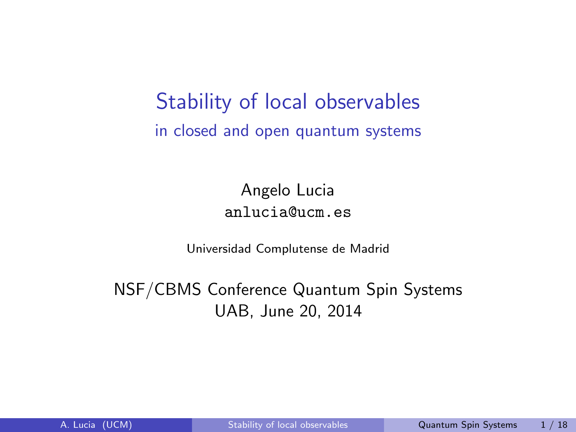<span id="page-0-0"></span>Stability of local observables in closed and open quantum systems

> Angelo Lucia anlucia@ucm.es

Universidad Complutense de Madrid

NSF/CBMS Conference Quantum Spin Systems UAB, June 20, 2014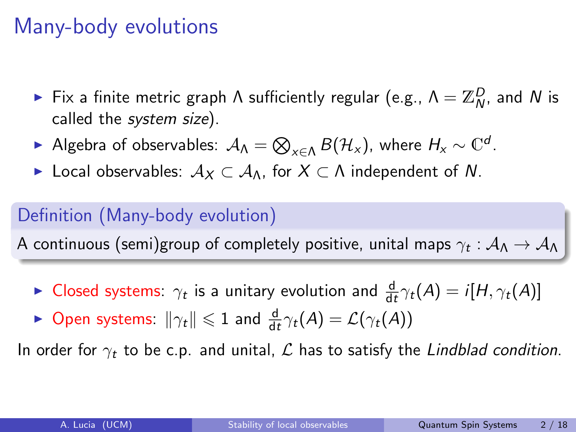## Many-body evolutions

- ► Fix a finite metric graph  $\Lambda$  sufficiently regular (e.g.,  $\Lambda = \mathbb{Z}_N^D$ , and  $N$  is called the system size).
- ► Algebra of observables:  $\mathcal{A}_\Lambda = \bigotimes_{x \in \Lambda} B(\mathcal{H}_x)$ , where  $H_x \sim \mathbb{C}^d$ .
- ► Local observables:  $A_X \subset A_0$ , for  $X \subset \Lambda$  independent of N.

### Definition (Many-body evolution)

A continuous (semi)group of completely positive, unital maps  $\gamma_t:\mathcal A_\Lambda\to \mathcal A_\Lambda$ 

- ► Closed systems:  $\gamma_t$  is a unitary evolution and  $\frac{d}{dt}\gamma_t(A) = i[H, \gamma_t(A)]$
- ► Open systems:  $\|\gamma_t\| \leqslant 1$  and  $\frac{d}{dt}\gamma_t(A) = \mathcal{L}(\gamma_t(A))$

In order for  $\gamma_t$  to be c.p. and unital, L has to satisfy the Lindblad condition.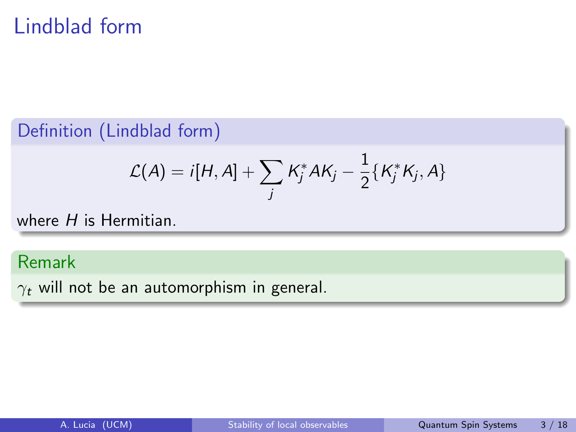# Lindblad form

#### Definition (Lindblad form)

$$
\mathcal{L}(A) = i[H, A] + \sum_j K_j^* A K_j - \frac{1}{2} \{K_j^* K_j, A\}
$$

where  $H$  is Hermitian.

### Remark

 $\gamma_t$  will not be an automorphism in general.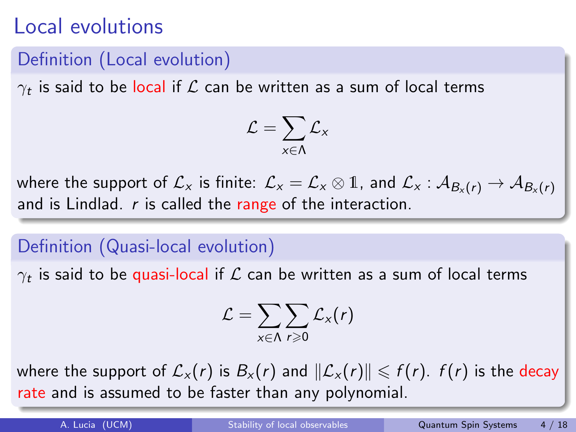## Local evolutions

#### Definition (Local evolution)

 $\gamma_t$  is said to be local if  ${\cal L}$  can be written as a sum of local terms

$$
\mathcal{L} = \sum_{x \in \Lambda} \mathcal{L}_x
$$

where the support of  $\mathcal{L}_x$  is finite:  $\mathcal{L}_x = \mathcal{L}_x \otimes \mathbb{1}$ , and  $\mathcal{L}_x : \mathcal{A}_{B_x(r)} \to \mathcal{A}_{B_x(r)}$ and is Lindlad.  $r$  is called the range of the interaction.

### Definition (Quasi-local evolution)

 $\gamma_t$  is said to be quasi-local if  ${\cal L}$  can be written as a sum of local terms

$$
\mathcal{L} = \sum_{\mathsf{x} \in \Lambda} \sum_{r \geqslant 0} \mathcal{L}_{\mathsf{x}}(r)
$$

where the support of  $\mathcal{L}_x(r)$  is  $B_x(r)$  and  $\|\mathcal{L}_x(r)\| \leq f(r)$ .  $f(r)$  is the decay rate and is assumed to be faster than any polynomial.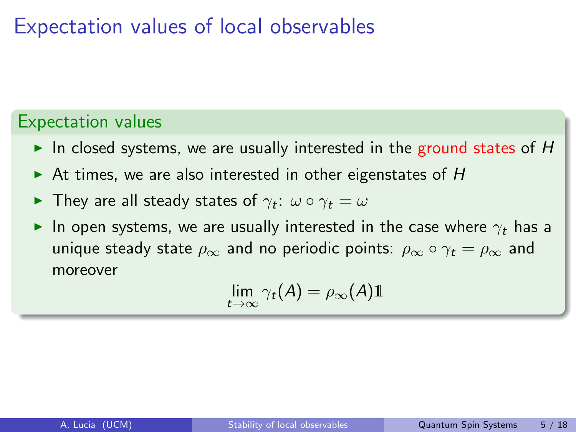## Expectation values of local observables

#### Expectation values

- In closed systems, we are usually interested in the ground states of  $H$
- $\triangleright$  At times, we are also interested in other eigenstates of H
- $\blacktriangleright$  They are all steady states of  $\gamma_t$ :  $\omega \circ \gamma_t = \omega$
- In open systems, we are usually interested in the case where  $\gamma_t$  has a unique steady state  $\rho_{\infty}$  and no periodic points:  $\rho_{\infty} \circ \gamma_t = \rho_{\infty}$  and moreover

$$
\lim_{t\to\infty}\gamma_t(A)=\rho_\infty(A)\mathbb{1}
$$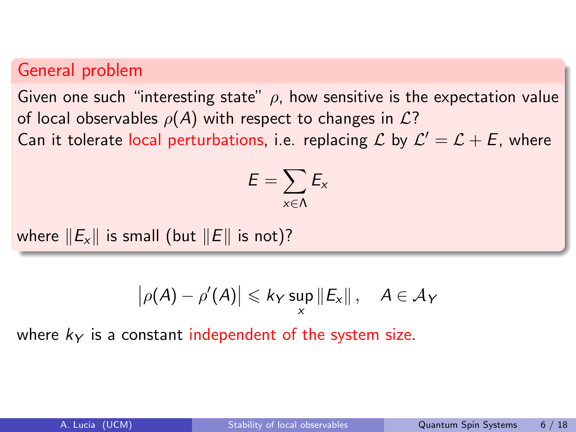#### General problem

Given one such "interesting state"  $\rho$ , how sensitive is the expectation value of local observables  $\rho(A)$  with respect to changes in  $\mathcal{L}$ ? Can it tolerate local perturbations, i.e. replacing  $\mathcal L$  by  $\mathcal L' = \mathcal L + \mathcal E$ , where

$$
E=\sum_{x\in\Lambda}E_x
$$

where  $||E_x||$  is small (but  $||E||$  is not)?

$$
\big|\rho(A)-\rho'(A)\big|\leqslant k_{Y}\sup_{x}\|E_{x}\|,\quad A\in\mathcal{A}_{Y}
$$

where  $k<sub>Y</sub>$  is a constant independent of the system size.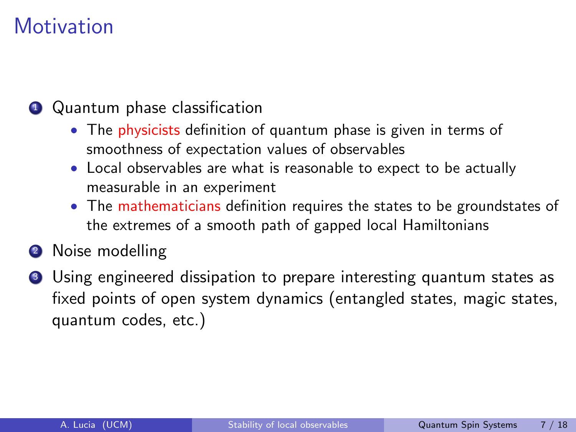# **Motivation**

### **1** Quantum phase classification

- The physicists definition of quantum phase is given in terms of smoothness of expectation values of observables
- Local observables are what is reasonable to expect to be actually measurable in an experiment
- The mathematicians definition requires the states to be groundstates of the extremes of a smooth path of gapped local Hamiltonians
- <sup>2</sup> Noise modelling
- <sup>3</sup> Using engineered dissipation to prepare interesting quantum states as fixed points of open system dynamics (entangled states, magic states, quantum codes, etc.)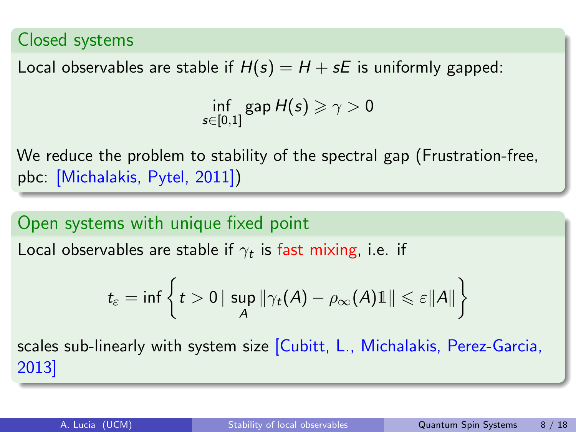#### Closed systems

Local observables are stable if  $H(s) = H + sE$  is uniformly gapped:

 $\inf_{s\in[0,1]}$ gap  $H(s)\geqslant\gamma>0$ 

We reduce the problem to stability of the spectral gap (Frustration-free, pbc: [Michalakis, Pytel, 2011])

Open systems with unique fixed point Local observables are stable if  $\gamma_t$  is fast mixing, i.e. if

$$
t_{\varepsilon} = \inf \left\{ t > 0 \, | \, \sup_{A} \|\gamma_t(A) - \rho_\infty(A) \mathbb{1}\| \leqslant \varepsilon \|A\| \right\}
$$

scales sub-linearly with system size [Cubitt, L., Michalakis, Perez-Garcia, 2013]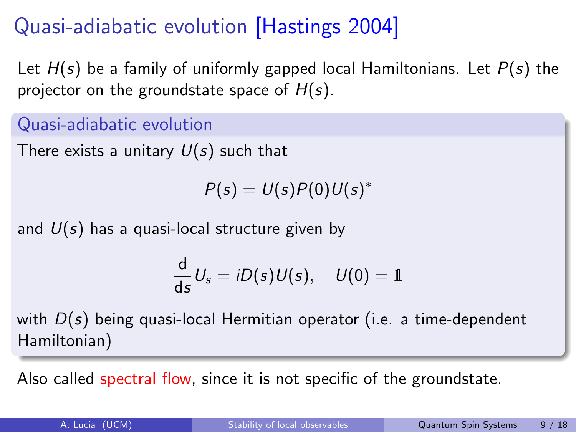# Quasi-adiabatic evolution [Hastings 2004]

Let  $H(s)$  be a family of uniformly gapped local Hamiltonians. Let  $P(s)$  the projector on the groundstate space of  $H(s)$ .

Quasi-adiabatic evolution

There exists a unitary  $U(s)$  such that

 $P(s) = U(s)P(0)U(s)^{*}$ 

and  $U(s)$  has a quasi-local structure given by

$$
\frac{\mathrm{d}}{\mathrm{d}s}U_s = iD(s)U(s), \quad U(0) = 1
$$

with  $D(s)$  being quasi-local Hermitian operator (i.e. a time-dependent Hamiltonian)

Also called spectral flow, since it is not specific of the groundstate.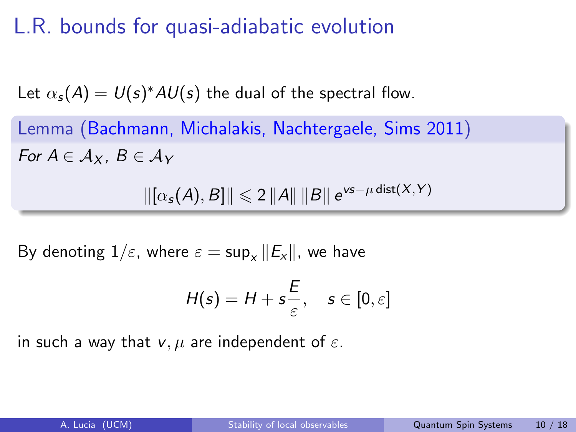# L.R. bounds for quasi-adiabatic evolution

Let  $\alpha_{\bm{s}}(A) = U(\bm{s})^* A U(\bm{s})$  the dual of the spectral flow.

Lemma (Bachmann, Michalakis, Nachtergaele, Sims 2011) For  $A \in Ax$ ,  $B \in Ax$ 

 $\|[\alpha_{s}(A), B] \| \leq 2 \|A\| \|B\| e^{\nu s - \mu \text{ dist}(X,Y)}$ 

By denoting  $1/\varepsilon$ , where  $\varepsilon = \sup_x ||E_x||$ , we have

$$
H(s) = H + s\frac{E}{\varepsilon}, \quad s \in [0,\varepsilon]
$$

in such a way that  $v, \mu$  are independent of  $\varepsilon$ .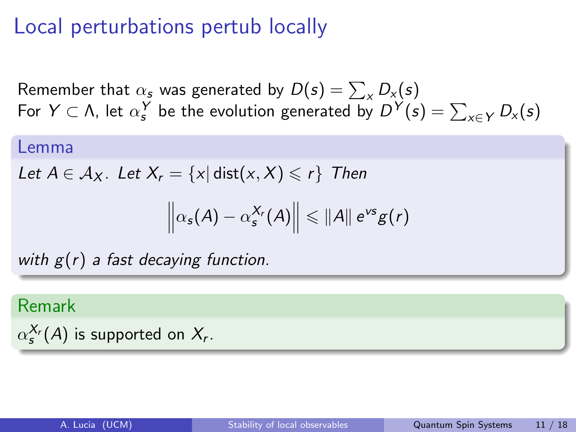### Local perturbations pertub locally

Remember that  $\alpha_s$  was generated by  $D(s) = \sum_{\mathsf{x}} D_{\mathsf{x}}(s)$ For  $Y \subset \Lambda$ , let  $\alpha_s^Y$  be the evolution generated by  $D^Y(s) = \sum_{x \in Y} D_x(s)$ 

#### Lemma

Let  $A \in \mathcal{A}_X$ . Let  $X_r = \{x | \text{dist}(x, X) \leq r\}$  Then

$$
\left\|\alpha_{s}(A)-\alpha_{s}^{X_{r}}(A)\right\|\leqslant\|A\|\mathrm{e}^{\nu s}g(r)
$$

with  $g(r)$  a fast decaying function.

#### Remark

$$
\alpha_s^{X_r}(A)
$$
 is supported on  $X_r$ .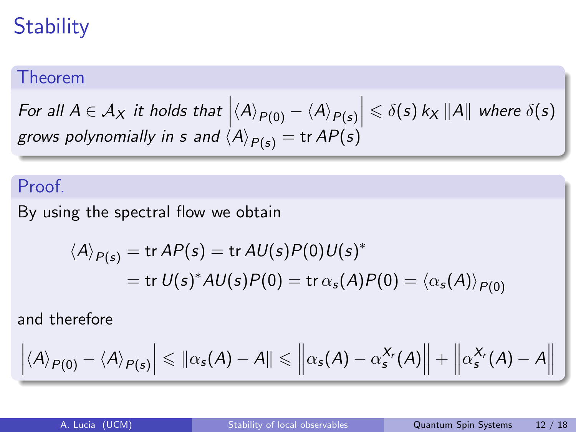# **Stability**

#### Theorem

For all  $A \in \mathcal{A}_X$  it holds that  $\left|\langle A \rangle_{P(0)} - \langle A \rangle_{P(s)}\right| \leq \delta(s) k_X ||A||$  where  $\delta(s)$ grows polynomially in s and  $\langle A \rangle_{P(s)} = \text{tr } AP(s)$ 

### Proof.

By using the spectral flow we obtain

$$
\langle A \rangle_{P(s)} = \text{tr } AP(s) = \text{tr } AU(s)P(0)U(s)^*
$$
  
= tr  $U(s)^*AU(s)P(0) = \text{tr }\alpha_s(A)P(0) = \langle \alpha_s(A) \rangle_{P(0)}$ 

and therefore

$$
\left|\langle A\rangle_{P(0)}-\langle A\rangle_{P(s)}\right|\leqslant \left\|\alpha_s(A)-A\right\|\leqslant \left\|\alpha_s(A)-\alpha_s^{X_r}(A)\right\|+\left\|\alpha_s^{X_r}(A)-A\right\|
$$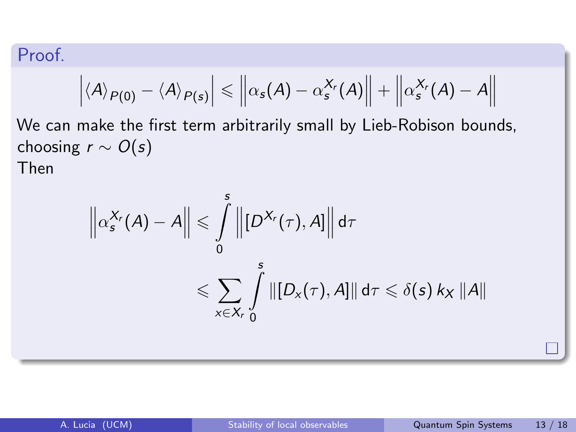### Proof.

$$
\left| \langle A \rangle_{P(0)} - \langle A \rangle_{P(s)} \right| \leq \left\| \alpha_s(A) - \alpha_s^{X_r}(A) \right\| + \left\| \alpha_s^{X_r}(A) - A \right\|
$$

We can make the first term arbitrarily small by Lieb-Robison bounds, choosing  $r \sim O(s)$ Then

$$
\left\|\alpha_s^{X_r}(A) - A\right\| \leqslant \int\limits_0^s \left\| [D^{X_r}(\tau), A] \right\| d\tau
$$
  

$$
\leqslant \sum_{x \in X_r} \int\limits_0^s \left\| [D_x(\tau), A] \right\| d\tau \leqslant \delta(s) k_x \left\| A \right\|
$$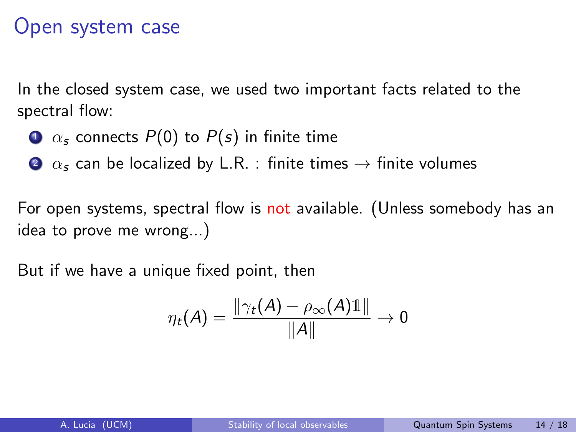### Open system case

In the closed system case, we used two important facts related to the spectral flow:

- $\Omega$   $\alpha$ , connects  $P(0)$  to  $P(s)$  in finite time
- 2  $\alpha_s$  can be localized by L.R. : finite times  $\rightarrow$  finite volumes

For open systems, spectral flow is not available. (Unless somebody has an idea to prove me wrong...)

But if we have a unique fixed point, then

$$
\eta_t(A) = \frac{\|\gamma_t(A) - \rho_\infty(A)\mathbb{1}\|}{\|A\|} \to 0
$$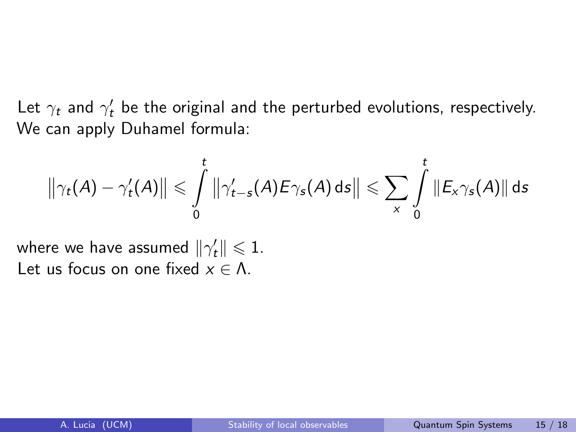Let  $\gamma_t$  and  $\gamma'_t$  be the original and the perturbed evolutions, respectively. We can apply Duhamel formula:

$$
\left\|\gamma_t(A)-\gamma_t'(A)\right\| \leqslant \int\limits_0^t \left\|\gamma_{t-s}'(A)E\gamma_s(A)\,\mathrm{d}s\right\| \leqslant \sum\limits_{x} \int\limits_0^t \left\|E_x\gamma_s(A)\right\|\,\mathrm{d}s
$$

where we have assumed  $\|\gamma_t'\| \leqslant 1.$ Let us focus on one fixed  $x \in \Lambda$ .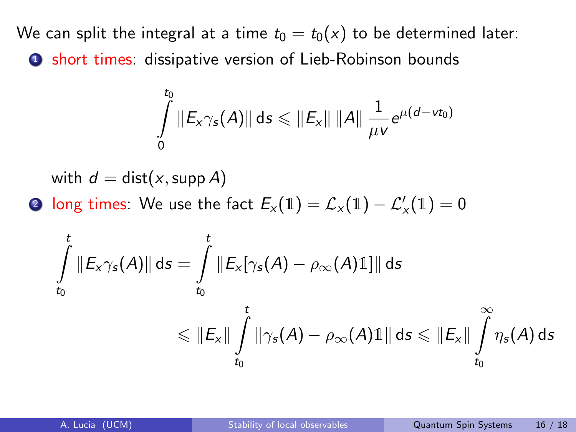We can split the integral at a time  $t_0 = t_0(x)$  to be determined later: **1** short times: dissipative version of Lieb-Robinson bounds

$$
\int_{0}^{t_0} \|E_x \gamma_s(A)\| \, \mathrm{d} s \leqslant \|E_x\| \, \|A\| \, \frac{1}{\mu \nu} e^{\mu (d - \nu t_0)}
$$

with  $d = dist(x, \text{supp } A)$ 

**2** long times: We use the fact  $E_x(1) = \mathcal{L}_x(1) - \mathcal{L}'_x(1) = 0$ 

$$
\int\limits_{t_0}^t \|E_x\gamma_s(A)\|\,ds = \int\limits_{t_0}^t \|E_x[\gamma_s(A) - \rho_\infty(A)\mathbb{1}]\|\,ds
$$
\n
$$
\leqslant \|E_x\|\int\limits_{t_0}^t \|\gamma_s(A) - \rho_\infty(A)\mathbb{1}\|\,ds \leqslant \|E_x\|\int\limits_{t_0}^\infty \eta_s(A)\,ds
$$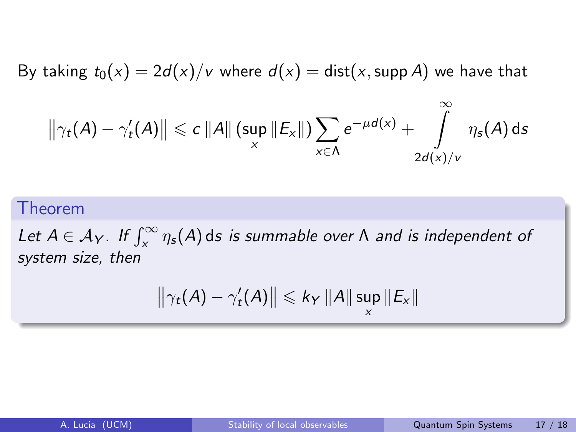By taking  $t_0(x) = 2d(x)/v$  where  $d(x) = \text{dist}(x, \text{supp } A)$  we have that

$$
\left\|\gamma_t(A)-\gamma_t'(A)\right\| \leqslant c\left\|A\right\|\left(\sup_x\left\|E_x\right\|\right)\sum_{x\in\Lambda}e^{-\mu d(x)}+\int\limits_{2d(x)/v}^{\infty}\eta_s(A)\,\text{d}s
$$

#### Theorem

Let  $A \in \mathcal{A}_Y$ . If  $\int_X^\infty \eta_s(A)$  ds is summable over  $\Lambda$  and is independent of system size, then

$$
\left\|\gamma_t(A)-\gamma_t'(A)\right\|\leqslant k_Y\left\|A\right\|\sup_x\left\|E_x\right\|
$$